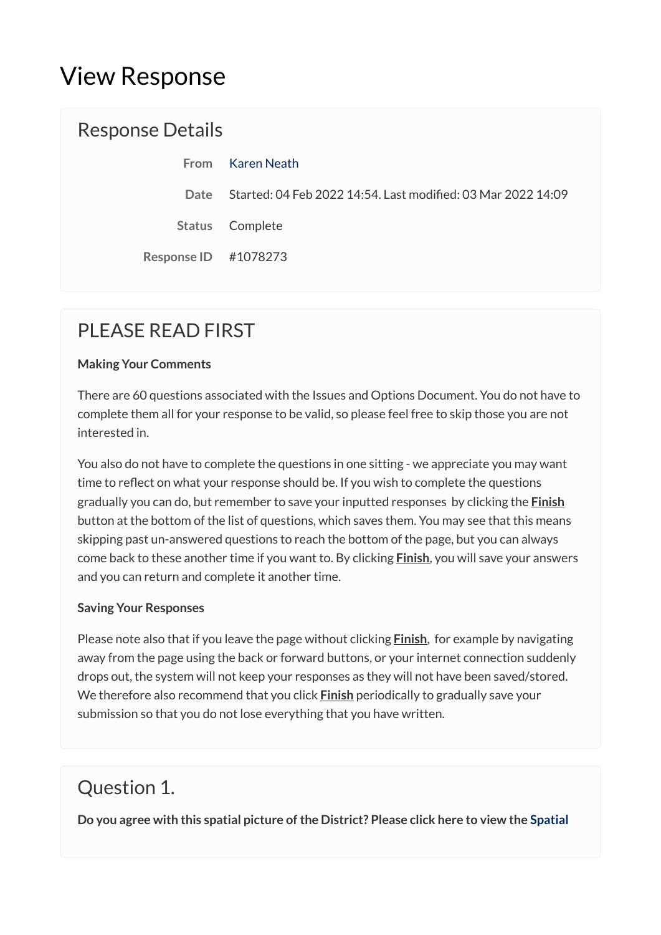# View Response

#### Response Details

|                         | From Karen Neath                                                  |
|-------------------------|-------------------------------------------------------------------|
|                         | Date Started: 04 Feb 2022 14:54. Last modified: 03 Mar 2022 14:09 |
|                         | Status Complete                                                   |
| Response ID $\#1078273$ |                                                                   |

## PLEASE READ FIRST

#### **Making Your Comments**

There are 60 questions associated with the Issues and Options Document. You do not have to complete them all for your response to be valid, so please feel free to skip those you are not interested in.

You also do not have to complete the questions in one sitting - we appreciate you may want time to reflect on what your response should be. If you wish to complete the questions gradually you can do, but remember to save your inputted responses by clicking the **Finish**  button at the bottom of the list of questions, which saves them. You may see that this means skipping past un-answered questions to reach the bottom of the page, but you can always come back to these another time if you want to. By clicking **Finish**, you will save your answers and you can return and complete it another time.

#### **Saving Your Responses**

Please note also that if you leave the page without clicking **Finish**, for example by navigating away from the page using the back or forward buttons, or your internet connection suddenly drops out, the system will not keep your responses as they will not have been saved/stored. We therefore also recommend that you click **Finish** periodically to gradually save your submission so that you do not lose everything that you have written.

### Question 1.

**Do you agree with this spatial picture of the District? Please click here to view the [Spatial](https://maldon.inconsult.uk/Issues/view?objectId=12545684#12545684)**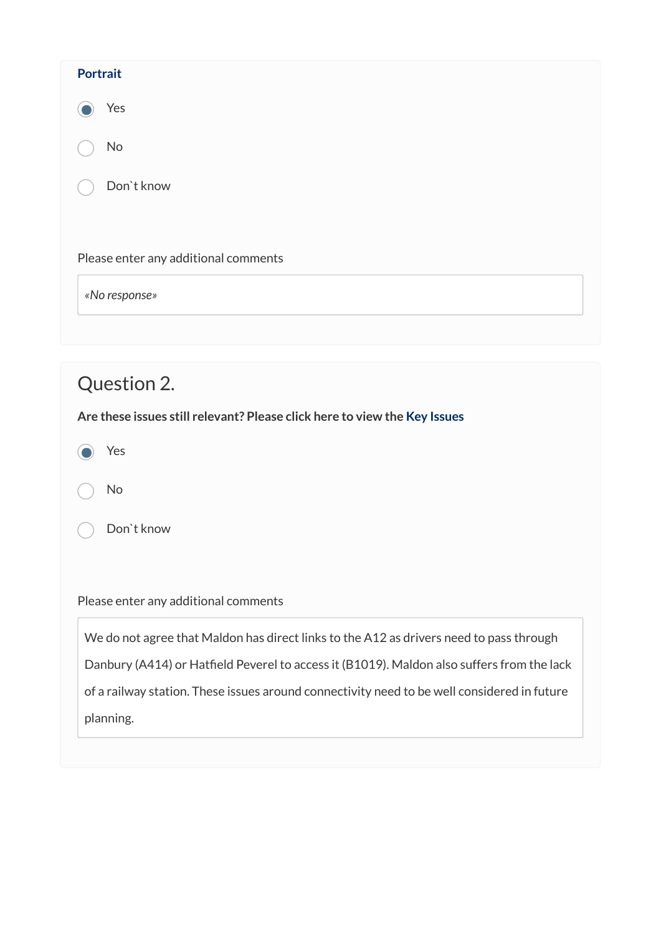| <b>Portrait</b>                      |
|--------------------------------------|
| Yes                                  |
| No                                   |
| Don't know                           |
|                                      |
| Please enter any additional comments |
| «No response»                        |
|                                      |

| Question 2.                                                                                 |
|---------------------------------------------------------------------------------------------|
| Are these issues still relevant? Please click here to view the Key Issues                   |
| Yes                                                                                         |
| No                                                                                          |
| Don't know                                                                                  |
|                                                                                             |
| Please enter any additional comments                                                        |
| We do not agree that Maldon has direct links to the A12 as drivers need to pass through     |
| Danbury (A414) or Hatfield Peverel to access it (B1019). Maldon also suffers from the lack  |
| of a railway station. These issues around connectivity need to be well considered in future |
| planning.                                                                                   |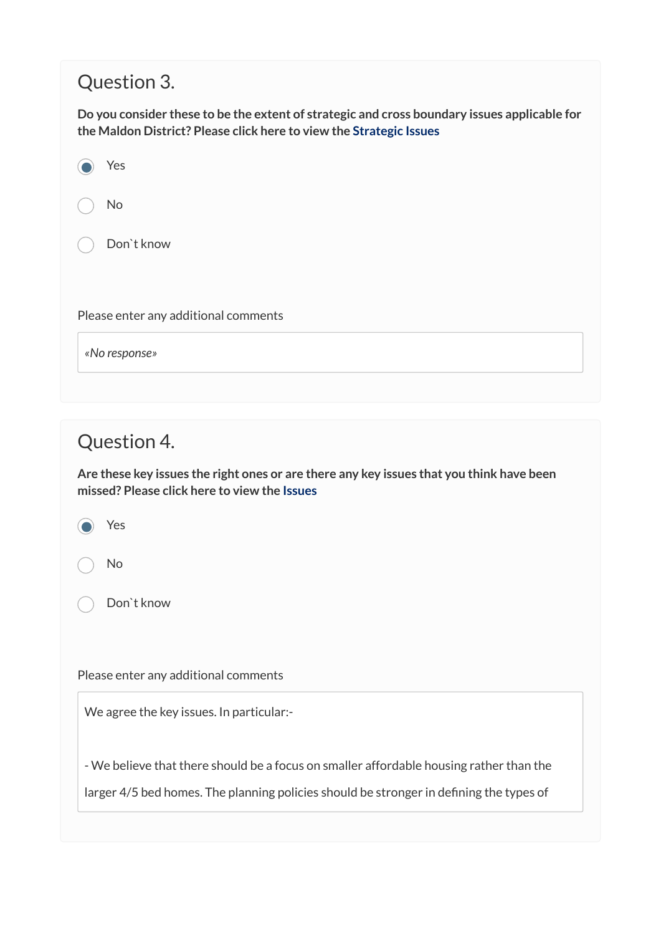### Question 3.

**Do you consider these to be the extent of strategic and cross boundary issues applicable for the Maldon District? Please click here to view the [Strategic Issues](https://maldon.inconsult.uk/Issues/view?objectId=12545876#12545876)**

| Yes                                  |
|--------------------------------------|
| No                                   |
| Don't know                           |
|                                      |
| Please enter any additional comments |
| «No response»                        |
|                                      |

#### Question 4.

**Are these key issues the right ones or are there any key issues that you think have been missed? Please click here to view the [Issues](https://maldon.inconsult.uk/Issues/view?objectId=12545940#12545940)**

Yes

No

Don`t know

Please enter any additional comments

We agree the key issues. In particular:-

- We believe that there should be a focus on smaller affordable housing rather than the

larger 4/5 bed homes. The planning policies should be stronger in defining the types of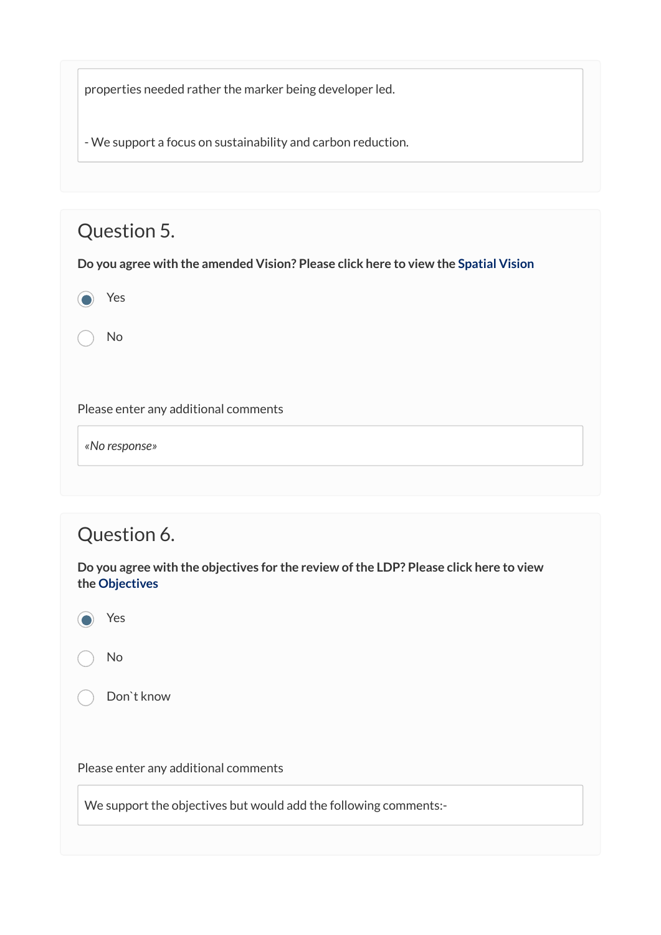properties needed rather the marker being developer led.

- We support a focus on sustainability and carbon reduction.

## Question 5.

**Do you agree with the amended Vision? Please click here to view the [Spatial Vision](https://maldon.inconsult.uk/Issues/view?objectId=12546004#12546004)**

<sup>1</sup> Yes

No

Please enter any additional comments

*«No response»* 

### Question 6.

**Do you agree with the objectives for the review of the LDP? Please click here to view the [Objectives](https://maldon.inconsult.uk/Issues/view?objectId=12546068#12546068)**



No

Don`t know

Please enter any additional comments

We support the objectives but would add the following comments:-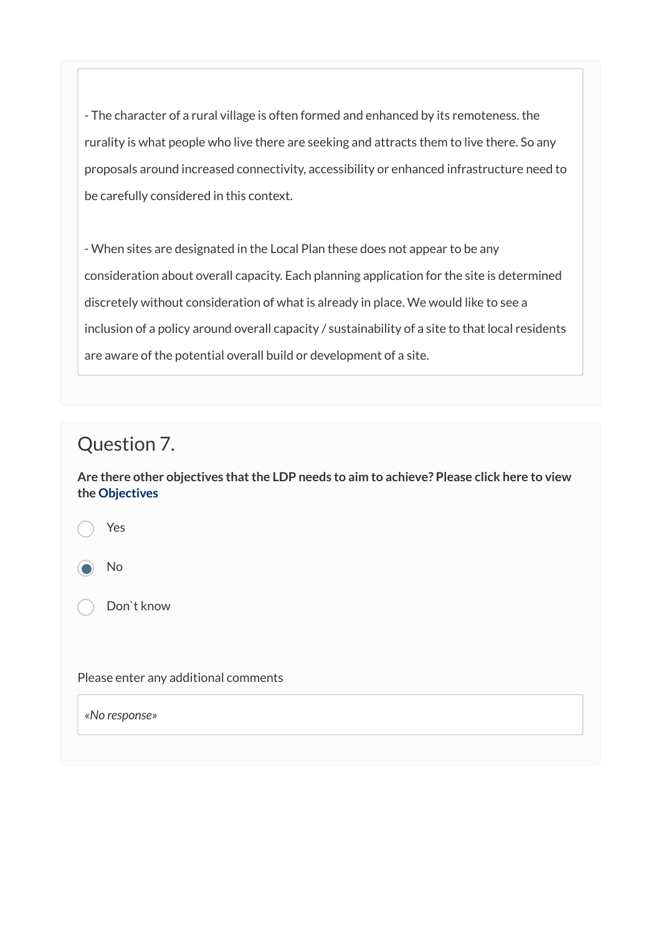- The character of a rural village is often formed and enhanced by its remoteness. the rurality is what people who live there are seeking and attracts them to live there. So any proposals around increased connectivity, accessibility or enhanced infrastructure need to be carefully considered in this context.

- When sites are designated in the Local Plan these does not appear to be any consideration about overall capacity. Each planning application for the site is determined discretely without consideration of what is already in place. We would like to see a inclusion of a policy around overall capacity / sustainability of a site to that local residents are aware of the potential overall build or development of a site.

### Question 7.

**Are there other objectives that the LDP needs to aim to achieve? Please click here to view the [Objectives](https://maldon.inconsult.uk/Issues/view?objectId=12546068#12546068)**

Yes

No

Don`t know

Please enter any additional comments

*«No response»*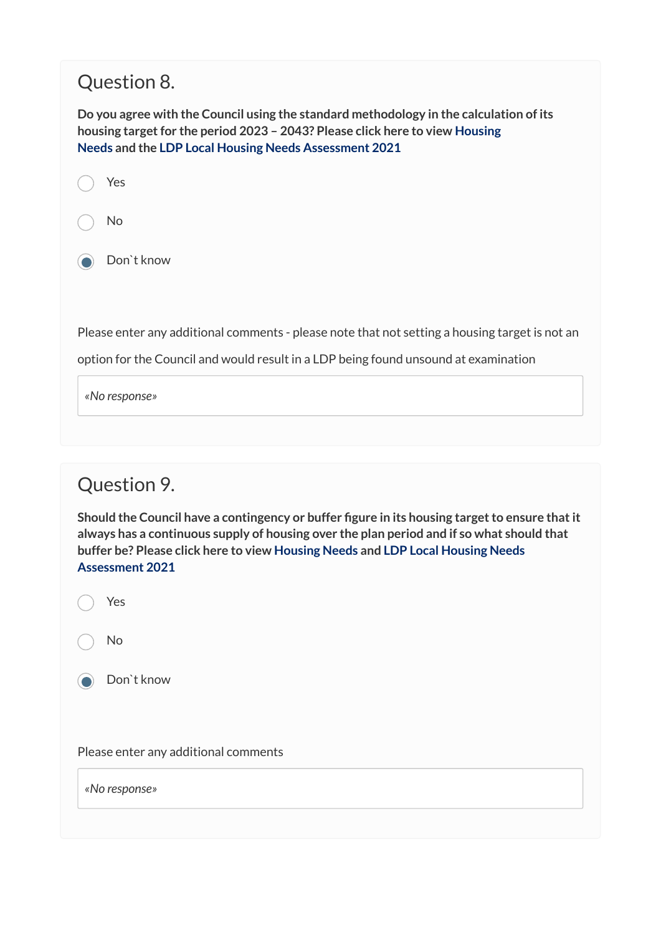## Question 8.

**Do you agree with the Council using the standard methodology in the calculation of its housing target for the period 2023 – 2043? Please click here to view [Housing](https://maldon.inconsult.uk/Issues/view?objectId=12546196#12546196) [Needs](https://maldon.inconsult.uk/Issues/view?objectId=12546196#12546196) and the [LDP Local Housing Needs Assessment 2021](https://www.maldon.gov.uk/download/downloads/id/18676/maldon_district_local_housing_needs_assessment_may_2021.pdf)** 

Yes



**Don**`t know

Please enter any additional comments - please note that not setting a housing target is not an

option for the Council and would result in a LDP being found unsound at examination

*«No response»* 

### Question 9.

**Should the Council have a contingency or buffer figure in its housing target to ensure that it always has a continuous supply of housing over the plan period and if so what should that buffer be? Please click here to view [Housing Needs](https://maldon.inconsult.uk/Issues/view?objectId=12546196#12546196) and [LDP Local Housing Needs](https://www.maldon.gov.uk/download/downloads/id/18676/maldon_district_local_housing_needs_assessment_may_2021.pdf) [Assessment 2021](https://www.maldon.gov.uk/download/downloads/id/18676/maldon_district_local_housing_needs_assessment_may_2021.pdf)** 



*«No response»*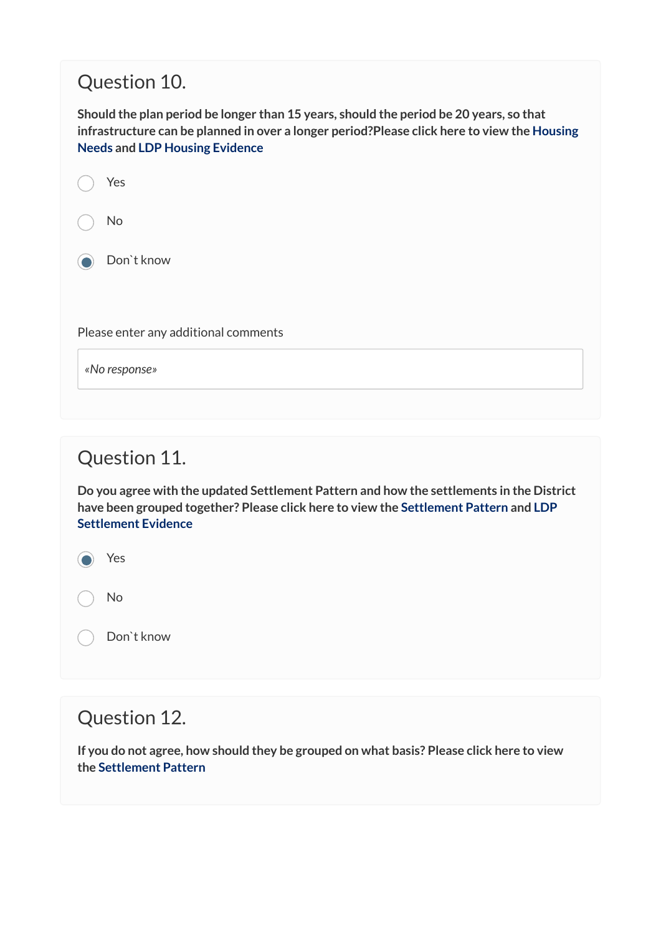## Question 10.

**Should the plan period be longer than 15 years, should the period be 20 years, so that infrastructure can be planned in over a longer period?Please click here to view the [Housing](https://maldon.inconsult.uk/Issues/view?objectId=12546196#12546196) [Needs](https://maldon.inconsult.uk/Issues/view?objectId=12546196#12546196) and [LDP Housing Evidence](https://www.maldon.gov.uk/download/downloads/id/18676/maldon_district_local_housing_needs_assessment_may_2021.pdf)** 

| Yes                                  |
|--------------------------------------|
| No                                   |
| Don't know                           |
|                                      |
| Please enter any additional comments |
| «No response»                        |
|                                      |

### Question 11.

**Do you agree with the updated Settlement Pattern and how the settlements in the District have been grouped together? Please click here to view the [Settlement Pattern](https://maldon.inconsult.uk/Issues/view?objectId=12546260#12546260) and [LDP](https://www.maldon.gov.uk/download/downloads/id/18807/rural_facilities_and_settlement_hierarchy_january_2022.pdf) [Settlement Evidence](https://www.maldon.gov.uk/download/downloads/id/18807/rural_facilities_and_settlement_hierarchy_january_2022.pdf)** 

a Yes

No

Don`t know

#### Question 12.

**If you do not agree, how should they be grouped on what basis? Please click here to view the [Settlement Pattern](https://maldon.inconsult.uk/Issues/view?objectId=12546260#12546260)**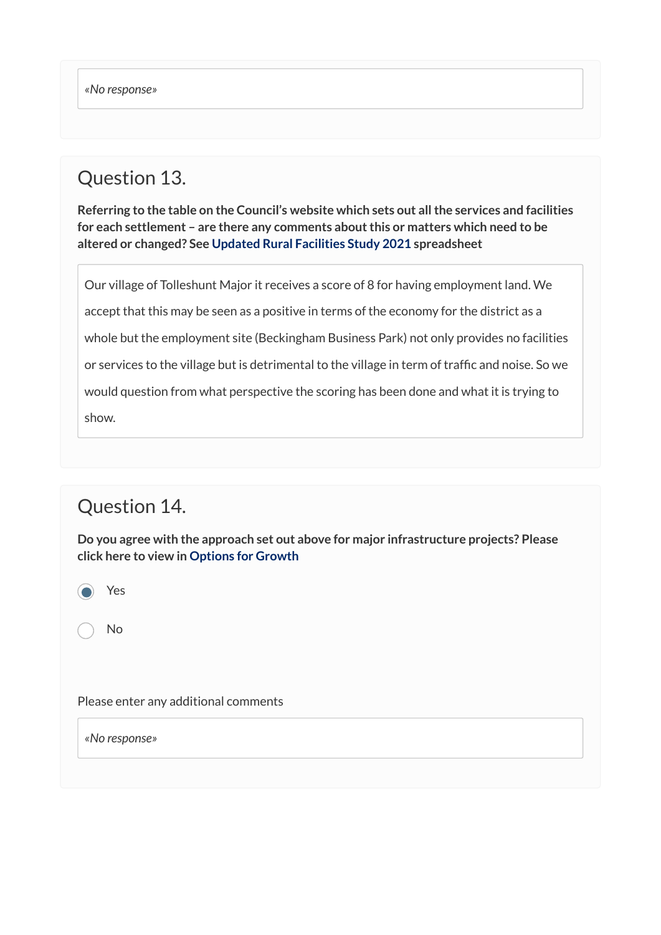### Question 13.

**Referring to the table on the Council's website which sets out all the services and facilities for each settlement – are there any comments about this or matters which need to be altered or changed? See [Updated Rural Facilities Study 2021](https://www.maldon.gov.uk/download/downloads/id/18808/2021_update_rural_facilities_survey.xlsx) spreadsheet** 

Our village of Tolleshunt Major it receives a score of 8 for having employment land. We accept that this may be seen as a positive in terms of the economy for the district as a whole but the employment site (Beckingham Business Park) not only provides no facilities or services to the village but is detrimental to the village in term of traffic and noise. So we would question from what perspective the scoring has been done and what it is trying to show.

## Question 14.

**Do you agree with the approach set out above for major infrastructure projects? Please click here to view in [Options for Growth](https://maldon.inconsult.uk/Issues/view?objectId=12546324#12546324)**

Yes

No

Please enter any additional comments

*«No response»*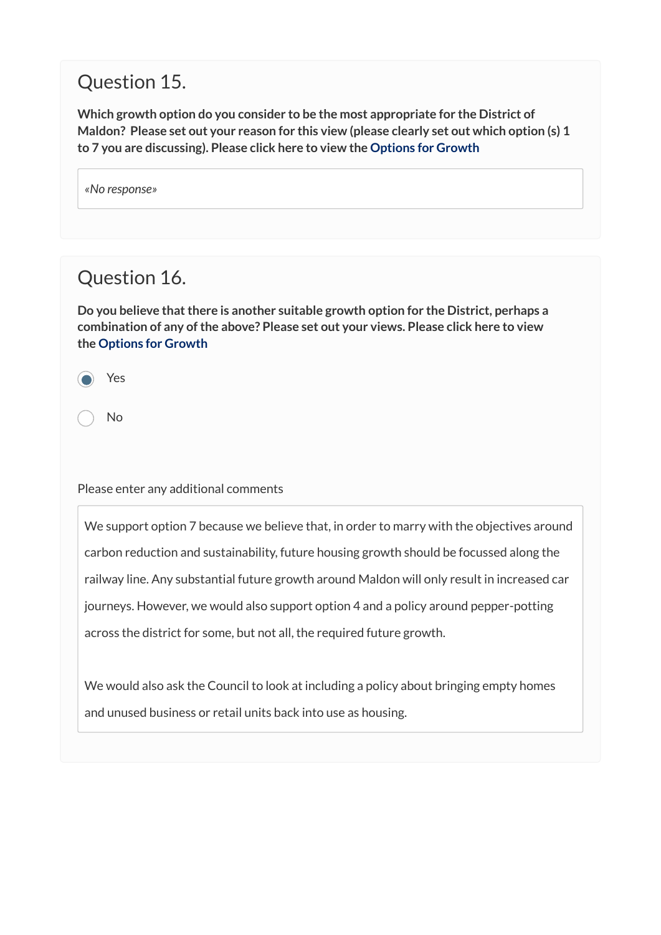## Question 15.

**Which growth option do you consider to be the most appropriate for the District of Maldon? Please set out your reason for this view (please clearly set out which option (s) 1 to 7 you are discussing). Please click here to view the [Options for Growth](https://maldon.inconsult.uk/Issues/view?objectId=12546324#12546324)**

| «No response» |  |
|---------------|--|
|---------------|--|

## Question 16.

**Do you believe that there is another suitable growth option for the District, perhaps a combination of any of the above? Please set out your views. Please click here to view the [Options for Growth](https://maldon.inconsult.uk/Issues/view?objectId=12546324#12546324)**

Yes

No

#### Please enter any additional comments

We support option 7 because we believe that, in order to marry with the objectives around carbon reduction and sustainability, future housing growth should be focussed along the railway line. Any substantial future growth around Maldon will only result in increased car journeys. However, we would also support option 4 and a policy around pepper-potting across the district for some, but not all, the required future growth.

We would also ask the Council to look at including a policy about bringing empty homes and unused business or retail units back into use as housing.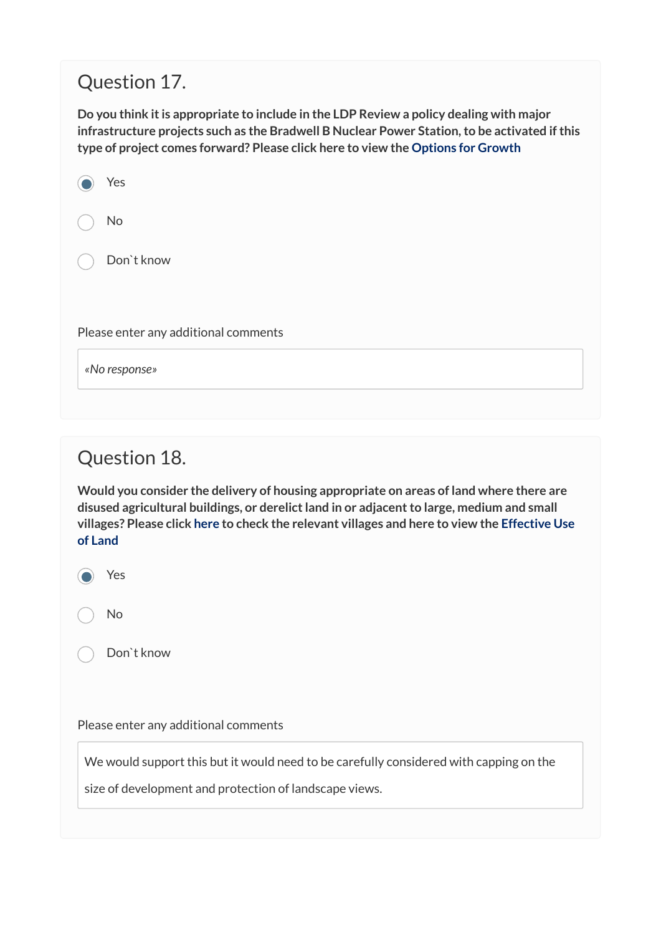## Question 17.

**Do you think it is appropriate to include in the LDP Review a policy dealing with major infrastructure projects such as the Bradwell B Nuclear Power Station, to be activated if this type of project comes forward? Please click here to view the [Options for Growth](https://maldon.inconsult.uk/Issues/view?objectId=12546324#12546324)**

| Yes                                  |
|--------------------------------------|
| No                                   |
| Don't know                           |
| Please enter any additional comments |
| «No response»                        |

## Question 18.

**Would you consider the delivery of housing appropriate on areas of land where there are disused agricultural buildings, or derelict land in or adjacent to large, medium and small villages? Please click [here t](https://maldon.inconsult.uk/Issues/view?objectId=12546260#12546260)o check the relevant villages and here to view the [Effective Use](https://maldon.inconsult.uk/Issues/view?objectId=12546388#12546388)  [of Land](https://maldon.inconsult.uk/Issues/view?objectId=12546388#12546388)** 

| i |
|---|
|   |

Don`t know

Please enter any additional comments

We would support this but it would need to be carefully considered with capping on the

size of development and protection of landscape views.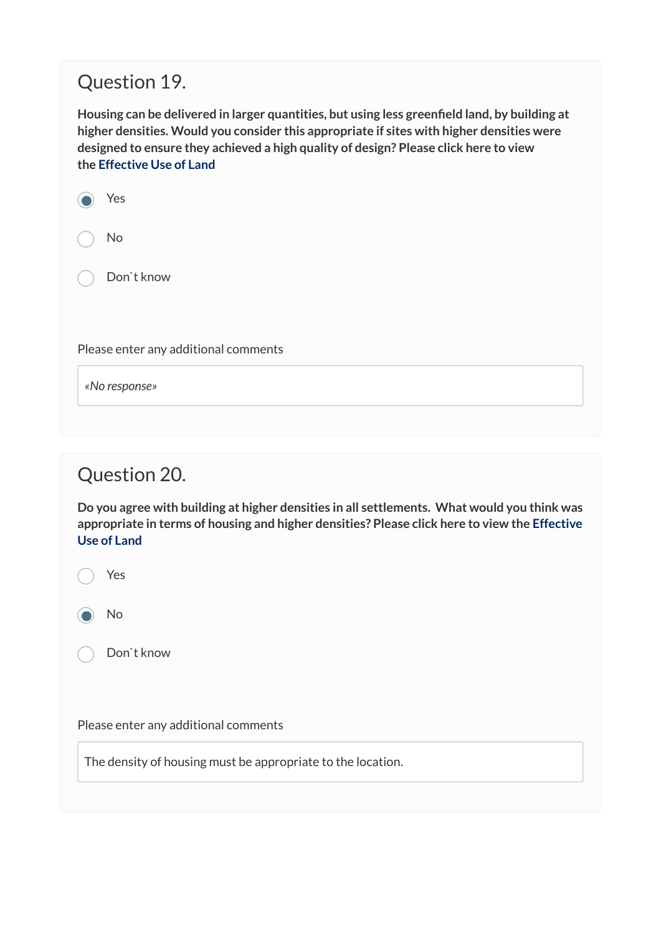## Question 19.

**Housing can be delivered in larger quantities, but using less greenfield land, by building at higher densities. Would you consider this appropriate if sites with higher densities were designed to ensure they achieved a high quality of design? Please click here to view the [Effective Use of Land](https://maldon.inconsult.uk/Issues/view?objectId=12546388#12546388)** 

| Yes |  |
|-----|--|
| No  |  |

Don`t know

Please enter any additional comments

*«No response»* 

## Question 20.

**Do you agree with building at higher densities in all settlements. What would you think was appropriate in terms of housing and higher densities? Please click here to view the [Effective](https://maldon.inconsult.uk/Issues/view?objectId=12546388#12546388)  [Use of Land](https://maldon.inconsult.uk/Issues/view?objectId=12546388#12546388)** 

Yes

No

Don`t know

Please enter any additional comments

The density of housing must be appropriate to the location.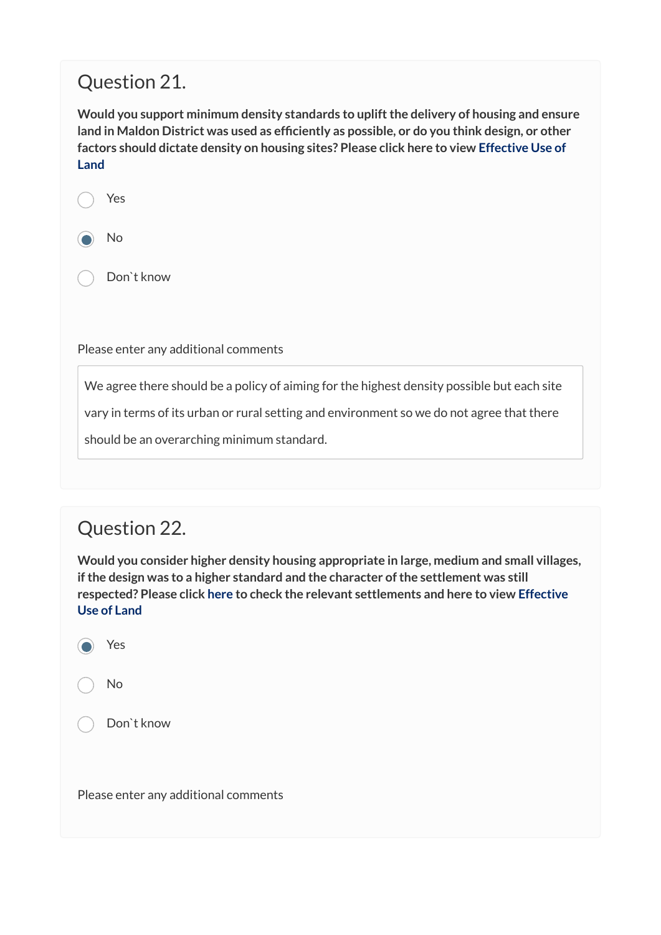## Question 21.

**Would you support minimum density standards to uplift the delivery of housing and ensure land in Maldon District was used as efficiently as possible, or do you think design, or other factors should dictate density on housing sites? Please click here to view [Effective Use of](https://maldon.inconsult.uk/Issues/view?objectId=12546388#12546388)  [Land](https://maldon.inconsult.uk/Issues/view?objectId=12546388#12546388)** 

Yes



Don`t know

Please enter any additional comments

We agree there should be a policy of aiming for the highest density possible but each site

vary in terms of its urban or rural setting and environment so we do not agree that there

should be an overarching minimum standard.

## Question 22.

**Would you consider higher density housing appropriate in large, medium and small villages, if the design was to a higher standard and the character of the settlement was still respected? Please click [here](https://maldon.inconsult.uk/Issues/view?objectId=12546260#12546260) to check the relevant settlements and here to view [Effective](https://maldon.inconsult.uk/Issues/view?objectId=12546388#12546388)  [Use of Land](https://maldon.inconsult.uk/Issues/view?objectId=12546388#12546388)**

Yes

No

Don`t know

Please enter any additional comments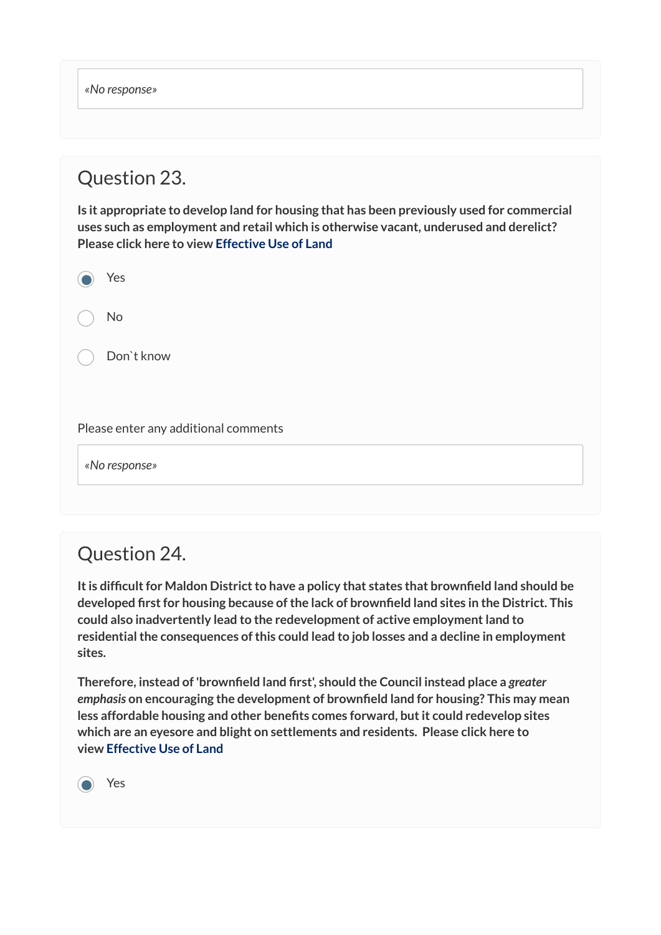*«No response»* 

## Question 23.

**Is it appropriate to develop land for housing that has been previously used for commercial uses such as employment and retail which is otherwise vacant, underused and derelict? Please click here to view [Effective Use of Land](https://maldon.inconsult.uk/Issues/view?objectId=12546388#12546388)** 

| Yes                                  |
|--------------------------------------|
| No                                   |
| Don't know                           |
|                                      |
| Please enter any additional comments |

*«No response»* 

## Question 24.

**It is difficult for Maldon District to have a policy that states that brownfield land should be developed first for housing because of the lack of brownfield land sites in the District. This could also inadvertently lead to the redevelopment of active employment land to residential the consequences of this could lead to job losses and a decline in employment sites.**

**Therefore, instead of 'brownfield land first', should the Council instead place a** *greater emphasis* **on encouraging the development of brownfield land for housing? This may mean less affordable housing and other benefits comes forward, but it could redevelop sites which are an eyesore and blight on settlements and residents. Please click here to view [Effective Use of Land](https://maldon.inconsult.uk/Issues/view?objectId=12546388#12546388)** 

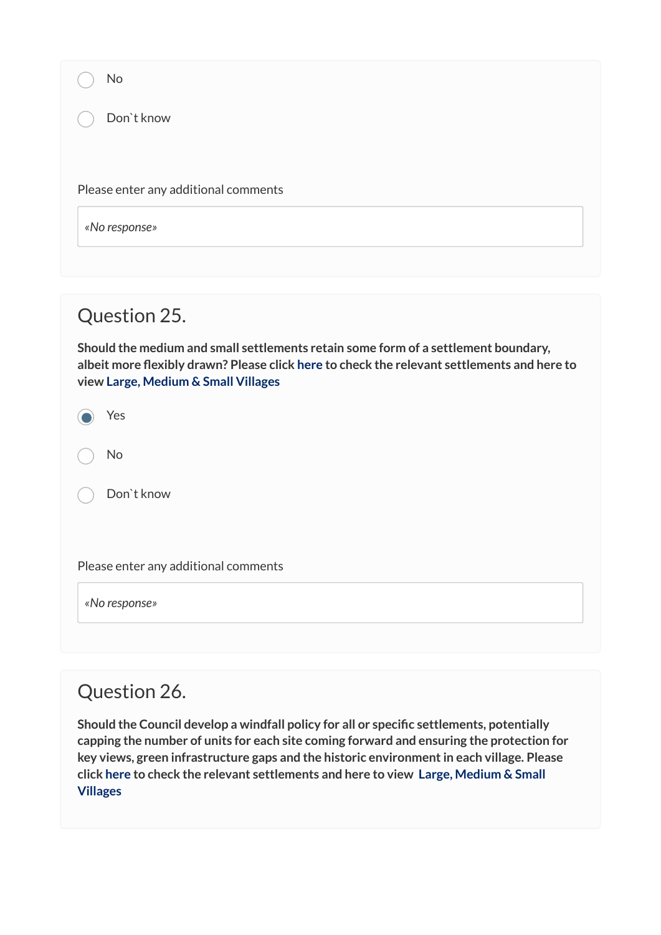| No                                   |  |
|--------------------------------------|--|
| Don't know                           |  |
|                                      |  |
| Please enter any additional comments |  |
| «No response»                        |  |
|                                      |  |
|                                      |  |
| Question 25.                         |  |

**Should the medium and small settlements retain some form of a settlement boundary, albeit more flexibly drawn? Please click [here](https://maldon.inconsult.uk/Issues/view?objectId=12546260#12546260) to check the relevant settlements and here to view [Large, Medium & Small Villages](https://maldon.inconsult.uk/Issues/view?objectId=12546452#12546452)**

| Yes |
|-----|
|     |

No

Don`t know

Please enter any additional comments

*«No response»* 

### Question 26.

**Should the Council develop a windfall policy for all or specific settlements, potentially capping the number of units for each site coming forward and ensuring the protection for key views, green infrastructure gaps and the historic environment in each village. Please click [here](https://maldon.inconsult.uk/Issues/view?objectId=12546260#12546260) to check the relevant settlements and here to view [Large, Medium & Small](https://maldon.inconsult.uk/Issues/view?objectId=12546452#12546452)  [Villages](https://maldon.inconsult.uk/Issues/view?objectId=12546452#12546452)**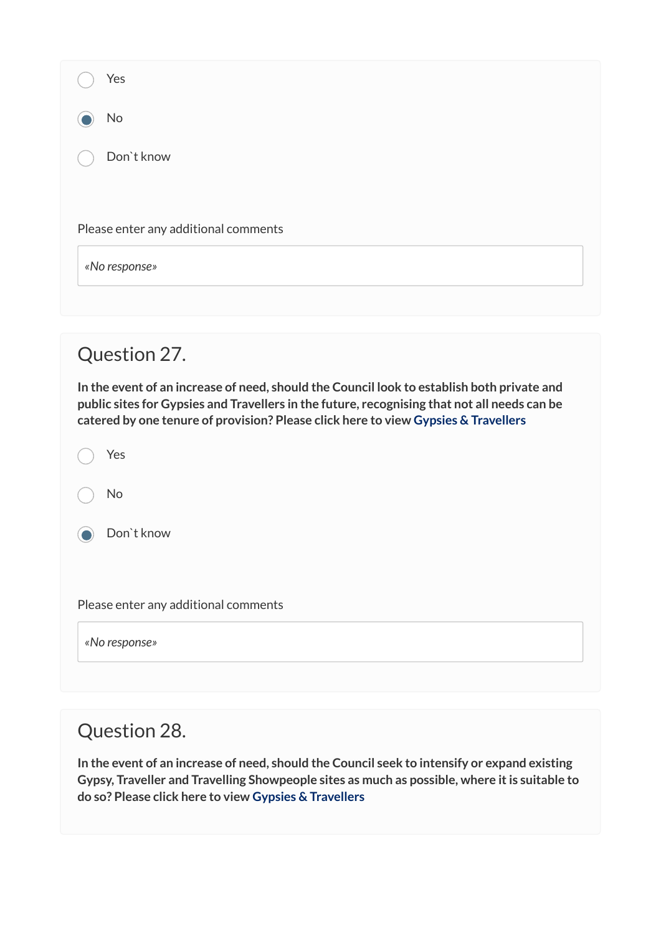| Yes                                                                                                                                                                                                                                                                              |  |
|----------------------------------------------------------------------------------------------------------------------------------------------------------------------------------------------------------------------------------------------------------------------------------|--|
| No                                                                                                                                                                                                                                                                               |  |
| Don't know                                                                                                                                                                                                                                                                       |  |
|                                                                                                                                                                                                                                                                                  |  |
| Please enter any additional comments                                                                                                                                                                                                                                             |  |
| «No response»                                                                                                                                                                                                                                                                    |  |
|                                                                                                                                                                                                                                                                                  |  |
| Question 27.                                                                                                                                                                                                                                                                     |  |
| In the event of an increase of need, should the Council look to establish both private and<br>public sites for Gypsies and Travellers in the future, recognising that not all needs can be<br>catered by one tenure of provision? Please click here to view Gypsies & Travellers |  |
| Yes                                                                                                                                                                                                                                                                              |  |
| <b>No</b>                                                                                                                                                                                                                                                                        |  |
| Don't know                                                                                                                                                                                                                                                                       |  |

Please enter any additional comments

*«No response»* 

## Question 28.

**In the event of an increase of need, should the Council seek to intensify or expand existing Gypsy, Traveller and Travelling Showpeople sites as much as possible, where it is suitable to do so? Please click here to view [Gypsies & Travellers](https://maldon.inconsult.uk/Issues/view?objectId=12546516#12546516)**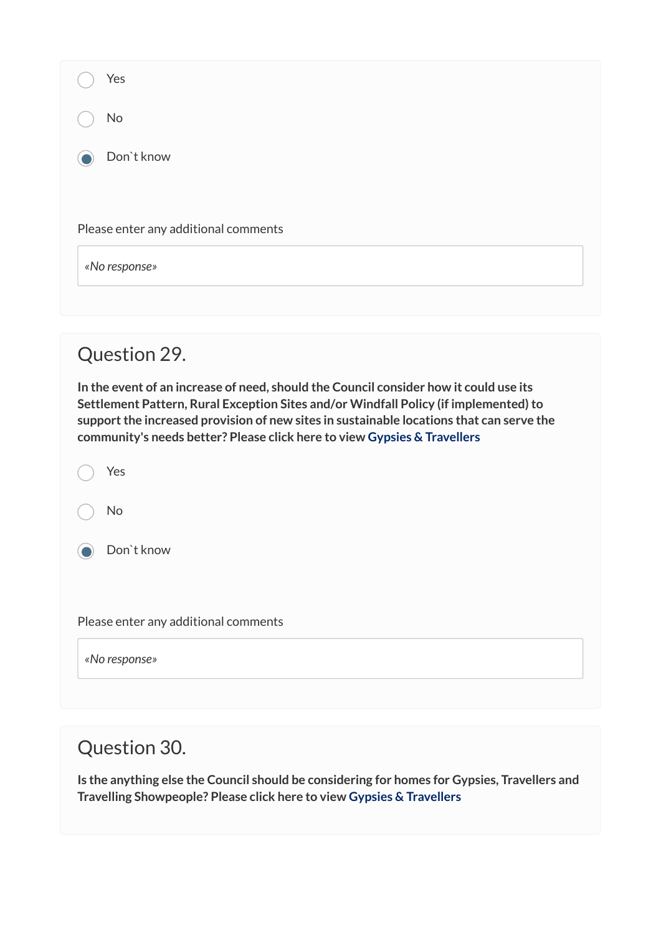| Yes                                                                                                                                                                                                                                                                                                                                                   |
|-------------------------------------------------------------------------------------------------------------------------------------------------------------------------------------------------------------------------------------------------------------------------------------------------------------------------------------------------------|
| No                                                                                                                                                                                                                                                                                                                                                    |
| Don't know                                                                                                                                                                                                                                                                                                                                            |
|                                                                                                                                                                                                                                                                                                                                                       |
| Please enter any additional comments                                                                                                                                                                                                                                                                                                                  |
| «No response»                                                                                                                                                                                                                                                                                                                                         |
|                                                                                                                                                                                                                                                                                                                                                       |
| Question 29.                                                                                                                                                                                                                                                                                                                                          |
| In the event of an increase of need, should the Council consider how it could use its<br>Settlement Pattern, Rural Exception Sites and/or Windfall Policy (if implemented) to<br>support the increased provision of new sites in sustainable locations that can serve the<br>community's needs better? Please click here to view Gypsies & Travellers |
| Yes                                                                                                                                                                                                                                                                                                                                                   |
| No                                                                                                                                                                                                                                                                                                                                                    |
| Don't know                                                                                                                                                                                                                                                                                                                                            |
|                                                                                                                                                                                                                                                                                                                                                       |
| Please enter any additional comments                                                                                                                                                                                                                                                                                                                  |
| «No response»                                                                                                                                                                                                                                                                                                                                         |

## Question 30.

**Is the anything else the Council should be considering for homes for Gypsies, Travellers and Travelling Showpeople? Please click here to view [Gypsies & Travellers](https://maldon.inconsult.uk/Issues/view?objectId=12546516#12546516)**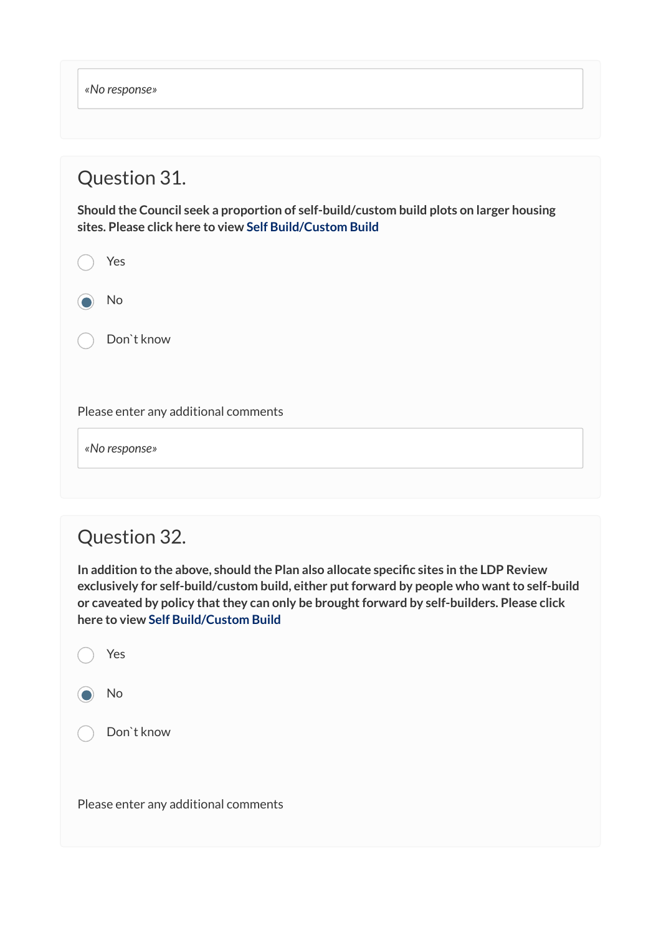*«No response»* 

#### Question 31.

**Should the Council seek a proportion of self-build/custom build plots on larger housing sites. Please click here to view [Self Build/Custom Build](https://maldon.inconsult.uk/Issues/view?objectId=12546580#12546580)**

| Yes                                  |
|--------------------------------------|
| No                                   |
| Don't know                           |
|                                      |
| Please enter any additional comments |

*«No response»* 

### Question 32.

**In addition to the above, should the Plan also allocate specific sites in the LDP Review exclusively for self-build/custom build, either put forward by people who want to self-build or caveated by policy that they can only be brought forward by self-builders. Please click here to view [Self Build/Custom Build](https://maldon.inconsult.uk/Issues/view?objectId=12546580#12546580)** 

|       | Yes                                  |
|-------|--------------------------------------|
| O)    | No                                   |
| $($ ) | Don't know                           |
|       |                                      |
|       | Please enter any additional comments |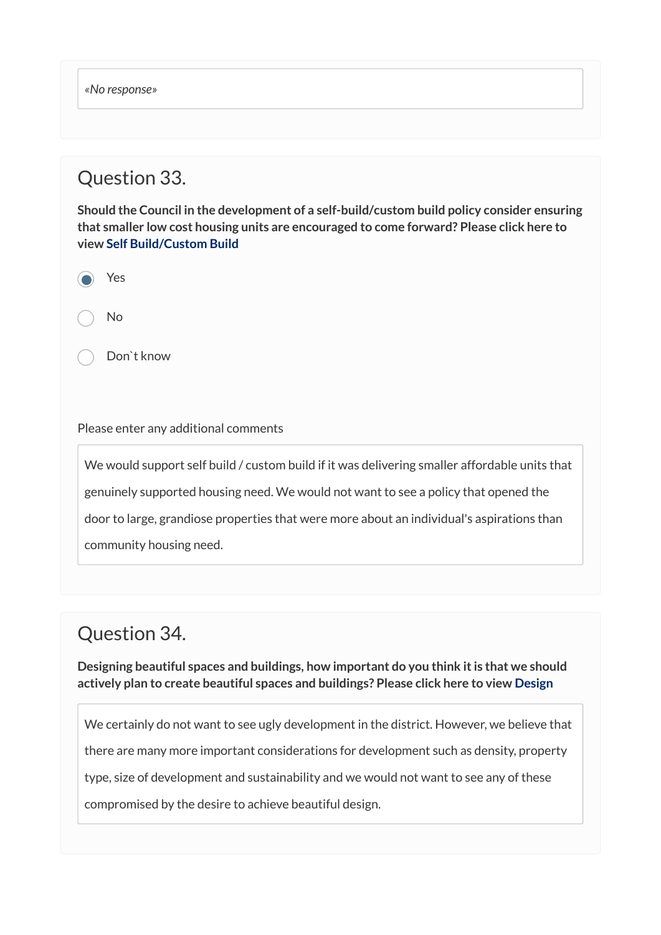*«No response»* 

### Question 33.

**Should the Council in the development of a self-build/custom build policy consider ensuring that smaller low cost housing units are encouraged to come forward? Please click here to view [Self Build/Custom Build](https://maldon.inconsult.uk/Issues/view?objectId=12546580#12546580)** 

| c<br>ы |
|--------|
|        |

No

Don`t know

#### Please enter any additional comments

We would support self build / custom build if it was delivering smaller affordable units that genuinely supported housing need. We would not want to see a policy that opened the door to large, grandiose properties that were more about an individual's aspirations than community housing need.

## Question 34.

**Designing beautiful spaces and buildings, how important do you think it is that we should actively plan to create beautiful spaces and buildings? Please click here to view [Design](https://maldon.inconsult.uk/Issues/view?objectId=12546644#12546644)**

We certainly do not want to see ugly development in the district. However, we believe that there are many more important considerations for development such as density, property type, size of development and sustainability and we would not want to see any of these compromised by the desire to achieve beautiful design.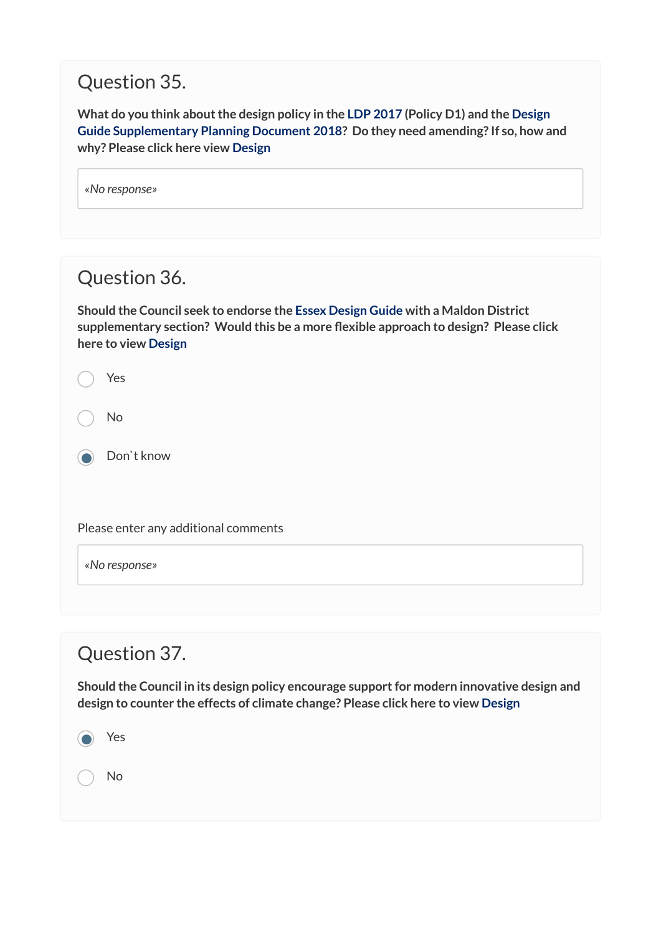## Question 35.

**What do you think about the design policy in the [LDP 2017](http://www.maldon.gov.uk/download/downloads/id/14807/approved_maldon_district_local_development_plan_2014-2029.pdf) (Policy D1) and the [Design](https://www.maldon.gov.uk/download/downloads/id/16019/maldon_district_design_guide_spd_december_2017.pdf)  [Guide Supplementary Planning Document 2018](https://www.maldon.gov.uk/download/downloads/id/16019/maldon_district_design_guide_spd_december_2017.pdf)? Do they need amending? If so, how and why? Please click here view [Design](https://maldon.inconsult.uk/Issues/view?objectId=12546644#12546644)** 

| «No response» |  |
|---------------|--|
|---------------|--|

## Question 36.

**Should the Council seek to endorse the [Essex Design Guide](https://www.essexdesignguide.co.uk/) with a Maldon District supplementary section? Would this be a more flexible approach to design? Please click here to view [Design](https://maldon.inconsult.uk/Issues/view?objectId=12546644#12546644)** 

Yes

No

**O** Don't know

Please enter any additional comments

*«No response»* 

### Question 37.

**Should the Council in its design policy encourage support for modern innovative design and design to counter the effects of climate change? Please click here to view [Design](https://maldon.inconsult.uk/Issues/view?objectId=12546644#12546644)** 

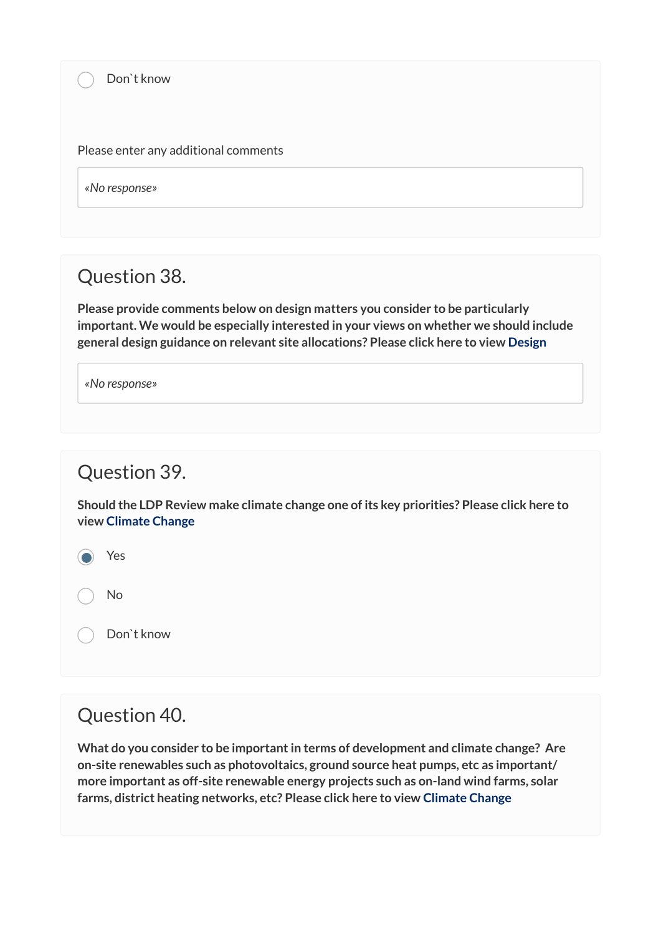Please enter any additional comments

*«No response»* 

#### Question 38.

**Please provide comments below on design matters you consider to be particularly important. We would be especially interested in your views on whether we should include general design guidance on relevant site allocations? Please click here to view [Design](https://maldon.inconsult.uk/Issues/view?objectId=12546644#12546644)** 

*«No response»* 

#### Question 39.

**Should the LDP Review make climate change one of its key priorities? Please click here to view [Climate Change](https://maldon.inconsult.uk/Issues/view?objectId=12546708#12546708)**

Yes

No

Don`t know

#### Question 40.

**What do you consider to be important in terms of development and climate change? Are on-site renewables such as photovoltaics, ground source heat pumps, etc as important/ more important as off-site renewable energy projects such as on-land wind farms, solar farms, district heating networks, etc? Please click here to view [Climate Change](https://maldon.inconsult.uk/Issues/view?objectId=12546708#12546708)**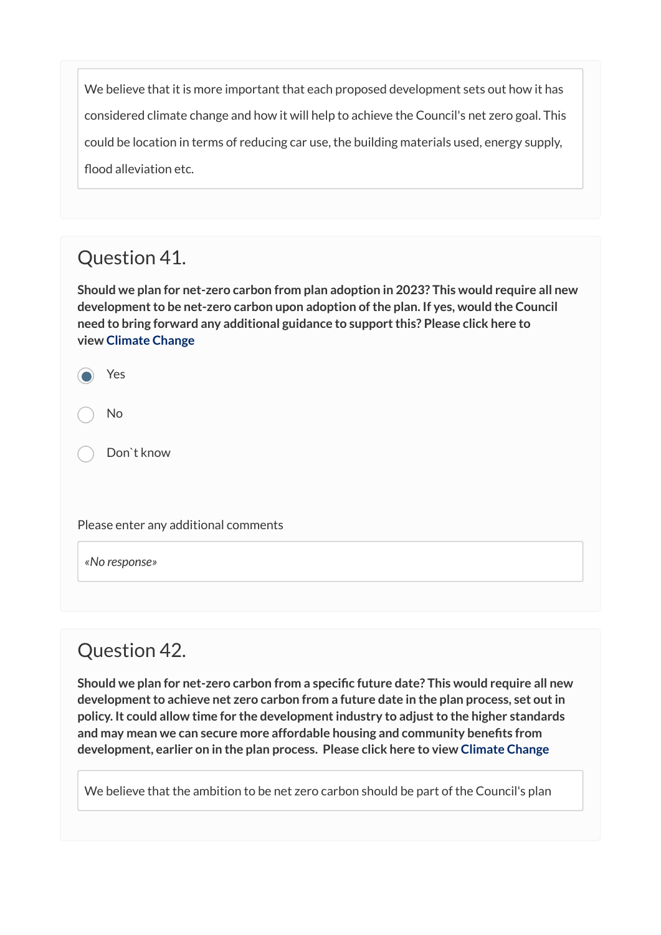We believe that it is more important that each proposed development sets out how it has considered climate change and how it will help to achieve the Council's net zero goal. This could be location in terms of reducing car use, the building materials used, energy supply, flood alleviation etc.

## Question 41.

**Should we plan for net-zero carbon from plan adoption in 2023? This would require all new development to be net-zero carbon upon adoption of the plan. If yes, would the Council need to bring forward any additional guidance to support this? Please click here to view [Climate Change](https://maldon.inconsult.uk/Issues/view?objectId=12546708#12546708)**

<sup>1</sup> Yes

No

Don`t know

Please enter any additional comments

*«No response»* 

### Question 42.

**Should we plan for net-zero carbon from a specific future date? This would require all new development to achieve net zero carbon from a future date in the plan process, set out in policy. It could allow time for the development industry to adjust to the higher standards and may mean we can secure more affordable housing and community benefits from development, earlier on in the plan process. Please click here to view [Climate Change](https://maldon.inconsult.uk/Issues/view?objectId=12546708#12546708)** 

We believe that the ambition to be net zero carbon should be part of the Council's plan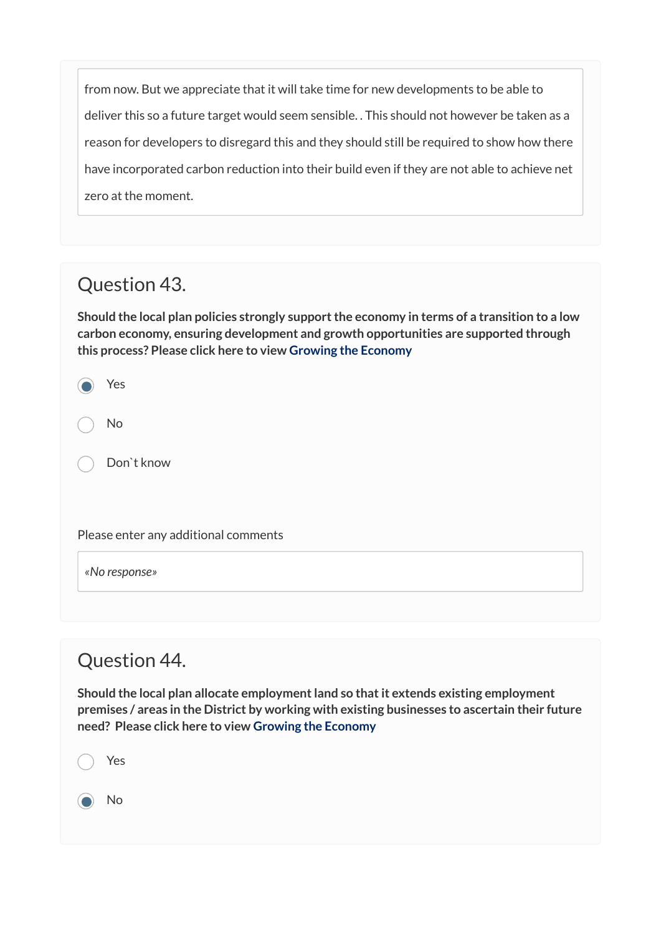from now. But we appreciate that it will take time for new developments to be able to deliver this so a future target would seem sensible. . This should not however be taken as a reason for developers to disregard this and they should still be required to show how there have incorporated carbon reduction into their build even if they are not able to achieve net zero at the moment.

## Question 43.

**Should the local plan policies strongly support the economy in terms of a transition to a low carbon economy, ensuring development and growth opportunities are supported through this process? Please click here to view [Growing the Economy](https://maldon.inconsult.uk/Issues/view?objectId=12546772#12546772)**

| Yes        |
|------------|
| No         |
| Don`t know |

Please enter any additional comments

*«No response»* 

## Question 44.

**Should the local plan allocate employment land so that it extends existing employment premises / areas in the District by working with existing businesses to ascertain their future need? Please click here to view [Growing the Economy](https://maldon.inconsult.uk/Issues/view?objectId=12546772#12546772)**

Yes No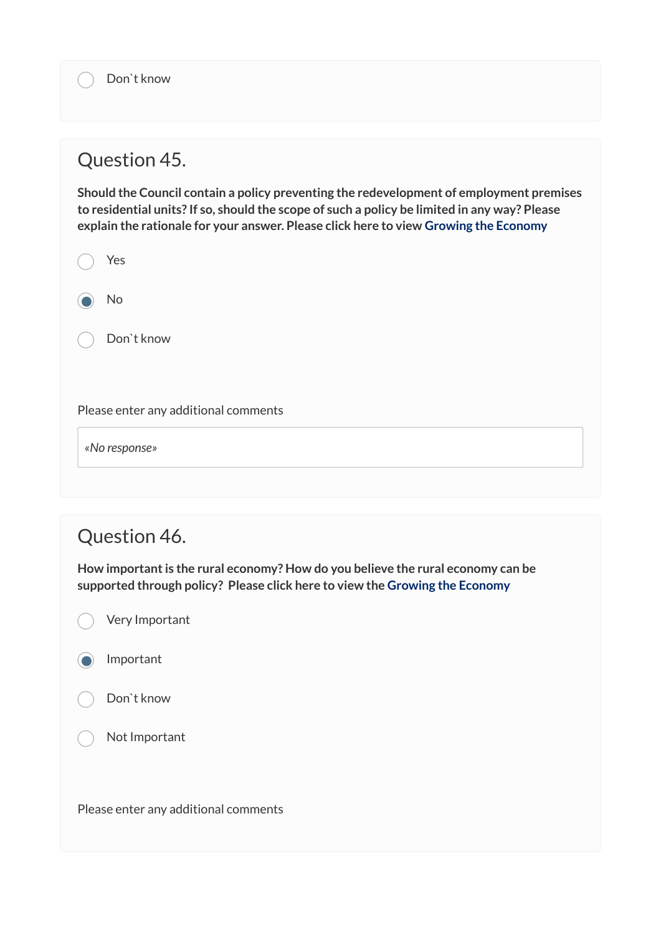#### Question 45.

**Should the Council contain a policy preventing the redevelopment of employment premises to residential units? If so, should the scope of such a policy be limited in any way? Please explain the rationale for your answer. Please click here to view [Growing the Economy](https://maldon.inconsult.uk/Issues/view?objectId=12546772#12546772)**

| Yes        |
|------------|
| No         |
| Don't know |
|            |

Please enter any additional comments

*«No response»* 

## Question 46.

**How important is the rural economy? How do you believe the rural economy can be supported through policy? Please click here to view the [Growing the Economy](https://maldon.inconsult.uk/Issues/view?objectId=12546772#12546772)** 

Very Important

Important



Not Important

Please enter any additional comments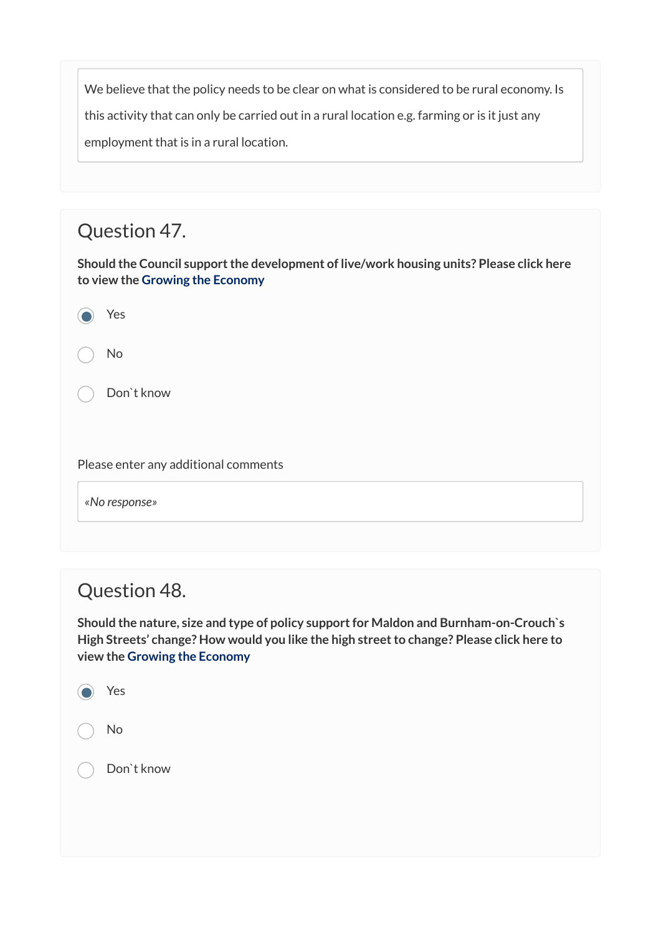We believe that the policy needs to be clear on what is considered to be rural economy. Is this activity that can only be carried out in a rural location e.g. farming or is it just any employment that is in a rural location.

## Question 47.

**Should the Council support the development of live/work housing units? Please click here to view the [Growing the Economy](https://maldon.inconsult.uk/Issues/view?objectId=12546772#12546772)** 

Yes

No

Don`t know

Please enter any additional comments

*«No response»* 

#### Question 48.

**Should the nature, size and type of policy support for Maldon and Burnham-on-Crouch`s High Streets' change? How would you like the high street to change? Please click here to view the [Growing the Economy](https://maldon.inconsult.uk/Issues/view?objectId=12546772#12546772)** 

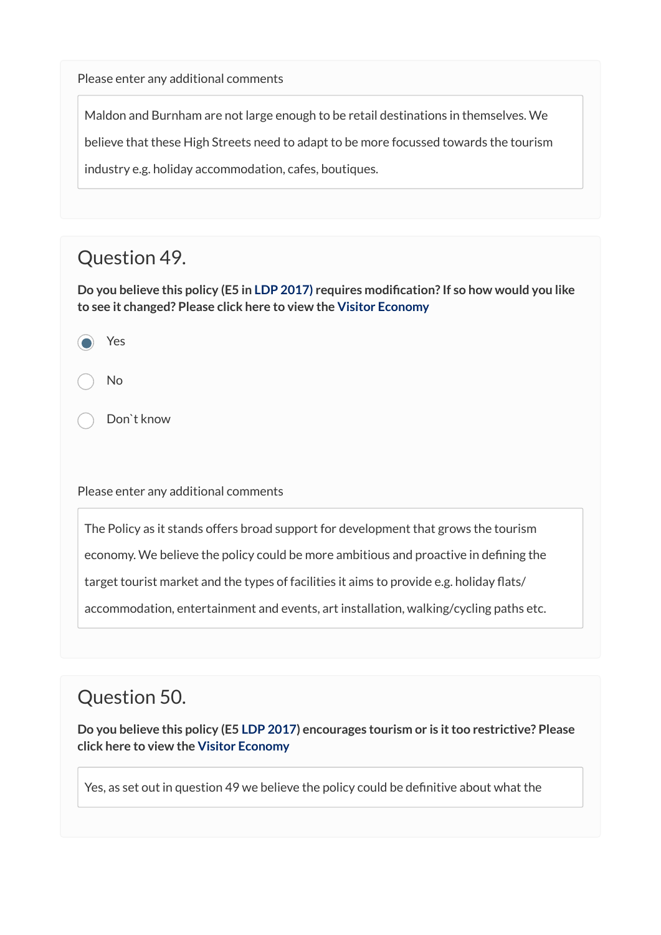Please enter any additional comments

Maldon and Burnham are not large enough to be retail destinations in themselves. We

believe that these High Streets need to adapt to be more focussed towards the tourism

industry e.g. holiday accommodation, cafes, boutiques.

### Question 49.

**Do you believe this policy (E5 in [LDP 2017\)](http://www.maldon.gov.uk/download/downloads/id/14807/approved_maldon_district_local_development_plan_2014-2029.pdf) requires modification? If so how would you like to see it changed? Please click here to view the [Visitor Economy](https://maldon.inconsult.uk/Issues/view?objectId=12546836#12546836)**

<sup>1</sup> Yes

No

Don`t know

Please enter any additional comments

The Policy as it stands offers broad support for development that grows the tourism

economy. We believe the policy could be more ambitious and proactive in defining the

target tourist market and the types of facilities it aims to provide e.g. holiday flats/

accommodation, entertainment and events, art installation, walking/cycling paths etc.

## Question 50.

**Do you believe this policy (E5 [LDP 2017](http://www.maldon.gov.uk/download/downloads/id/14807/approved_maldon_district_local_development_plan_2014-2029.pdf)) encourages tourism or is it too restrictive? Please click here to view the [Visitor Economy](https://maldon.inconsult.uk/Issues/view?objectId=12546836#12546836)** 

Yes, as set out in question 49 we believe the policy could be definitive about what the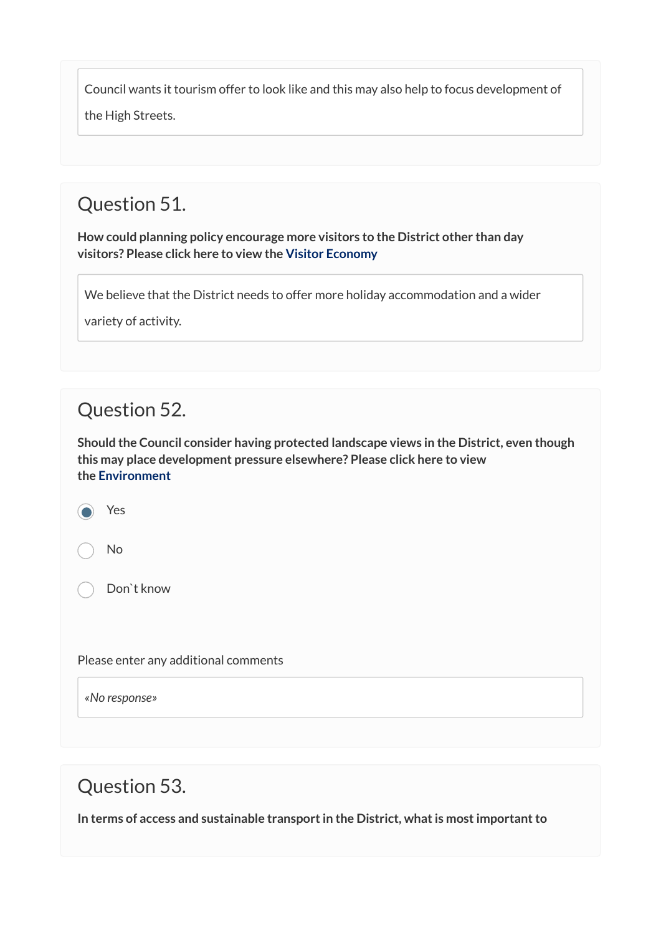Council wants it tourism offer to look like and this may also help to focus development of

the High Streets.

## Question 51.

**How could planning policy encourage more visitors to the District other than day visitors? Please click here to view the [Visitor Economy](https://maldon.inconsult.uk/Issues/view?objectId=12546836#12546836)** 

We believe that the District needs to offer more holiday accommodation and a wider

variety of activity.

### Question 52.

**Should the Council consider having protected landscape views in the District, even though this may place development pressure elsewhere? Please click here to view the [Environment](https://maldon.inconsult.uk/Issues/view?objectId=12546900#12546900)**

<sup>1</sup> Yes

No

Don`t know

Please enter any additional comments

*«No response»* 

Question 53.

**In terms of access and sustainable transport in the District, what is most important to**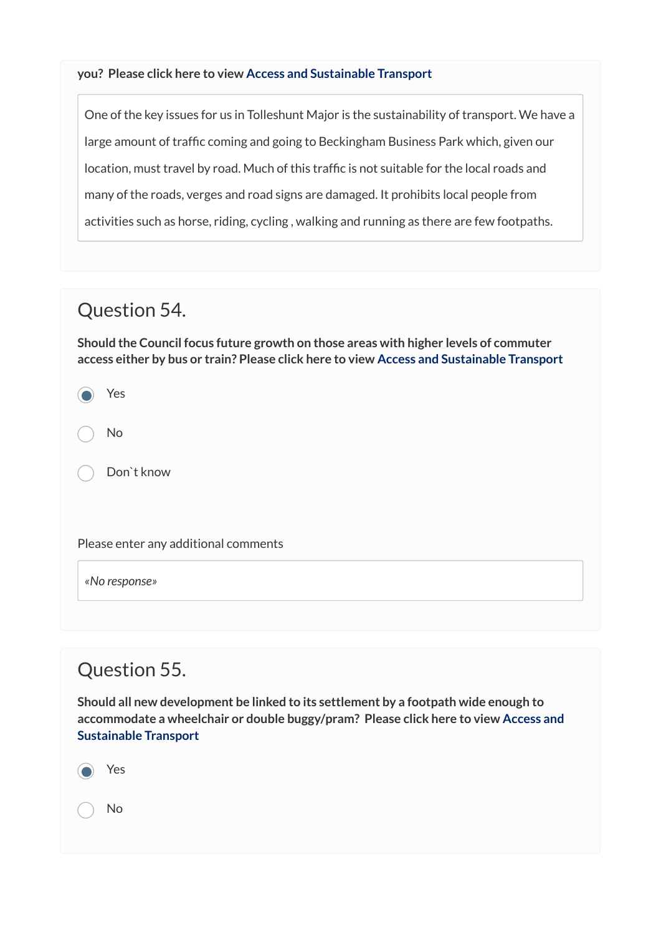#### **you? Please click here to view [Access and Sustainable Transport](https://maldon.inconsult.uk/Issues/view?objectId=12546964#12546964)**

One of the key issues for us in Tolleshunt Major is the sustainability of transport. We have a large amount of traffic coming and going to Beckingham Business Park which, given our location, must travel by road. Much of this traffic is not suitable for the local roads and many of the roads, verges and road signs are damaged. It prohibits local people from activities such as horse, riding, cycling , walking and running as there are few footpaths.

#### Question 54.

**Should the Council focus future growth on those areas with higher levels of commuter access either by bus or train? Please click here to view [Access and Sustainable Transport](https://maldon.inconsult.uk/Issues/view?objectId=12546964#12546964)**

<sup>1</sup> Yes

No

Don`t know

Please enter any additional comments

*«No response»* 

### Question 55.

**Should all new development be linked to its settlement by a footpath wide enough to accommodate a wheelchair or double buggy/pram? Please click here to view [Access and](https://maldon.inconsult.uk/Issues/view?objectId=12546964#12546964) [Sustainable Transport](https://maldon.inconsult.uk/Issues/view?objectId=12546964#12546964)**

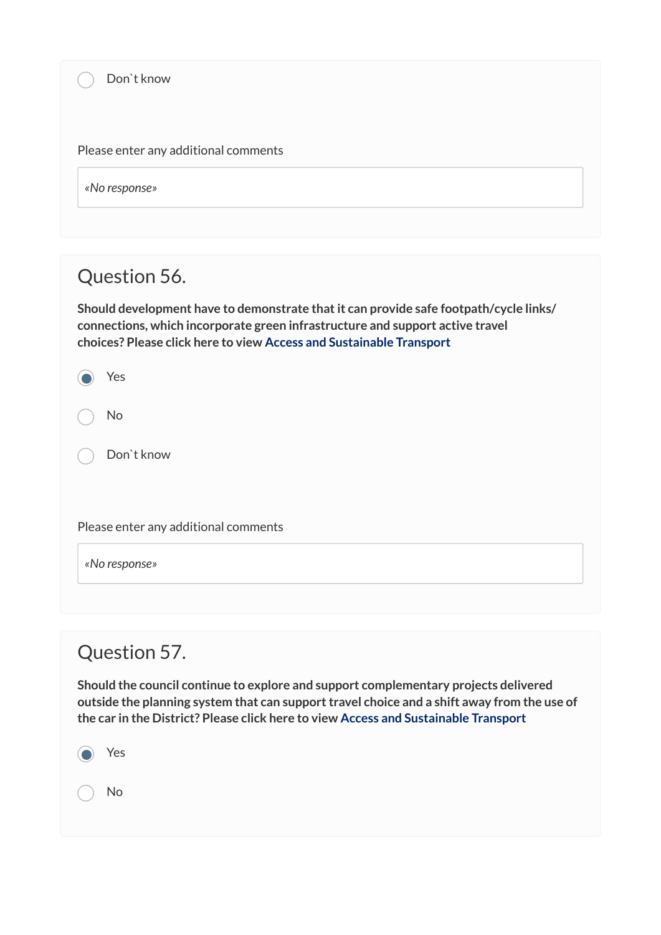Please enter any additional comments

*«No response»* 

## Question 56.

**Should development have to demonstrate that it can provide safe footpath/cycle links/ connections, which incorporate green infrastructure and support active travel choices? Please click here to view [Access and Sustainable Transport](https://maldon.inconsult.uk/Issues/view?objectId=12546964#12546964)**

| Yes |
|-----|
| No  |

Don`t know

Please enter any additional comments

*«No response»* 

## Question 57.

**Should the council continue to explore and support complementary projects delivered outside the planning system that can support travel choice and a shift away from the use of the car in the District? Please click here to view [Access and Sustainable Transport](https://maldon.inconsult.uk/Issues/view?objectId=12546964#12546964)**

<sup>1</sup> Yes No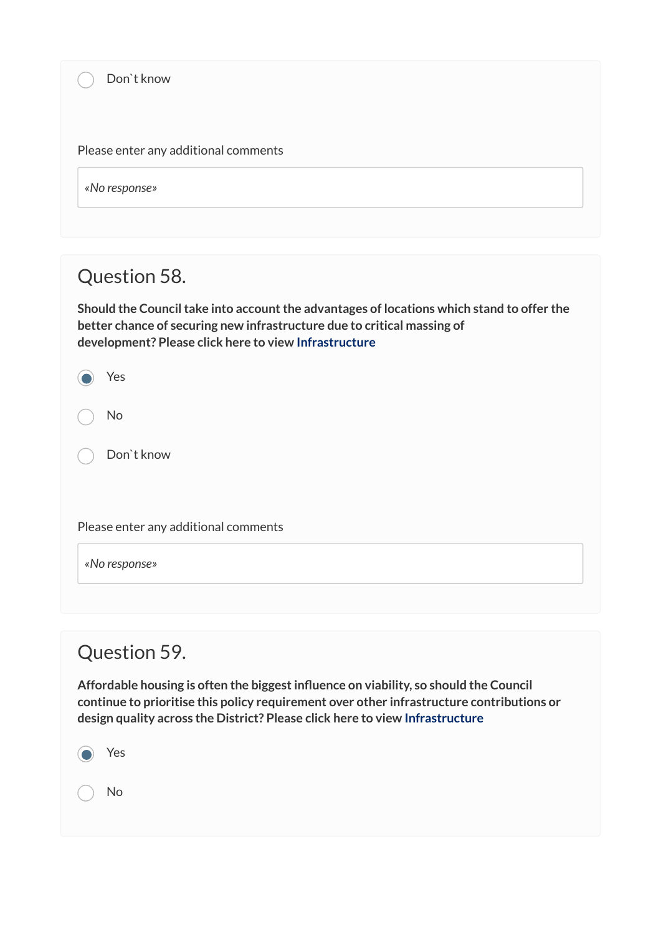Please enter any additional comments

*«No response»* 

## Question 58.

**Should the Council take into account the advantages of locations which stand to offer the better chance of securing new infrastructure due to critical massing of development? Please click here to view [Infrastructure](https://maldon.inconsult.uk/Issues/view?objectId=12547028#12547028)**

Yes

No

Don`t know

Please enter any additional comments

*«No response»* 

### Question 59.

**Affordable housing is often the biggest influence on viability, so should the Council continue to prioritise this policy requirement over other infrastructure contributions or design quality across the District? Please click here to view [Infrastructure](https://maldon.inconsult.uk/Issues/view?objectId=12547028#12547028)**